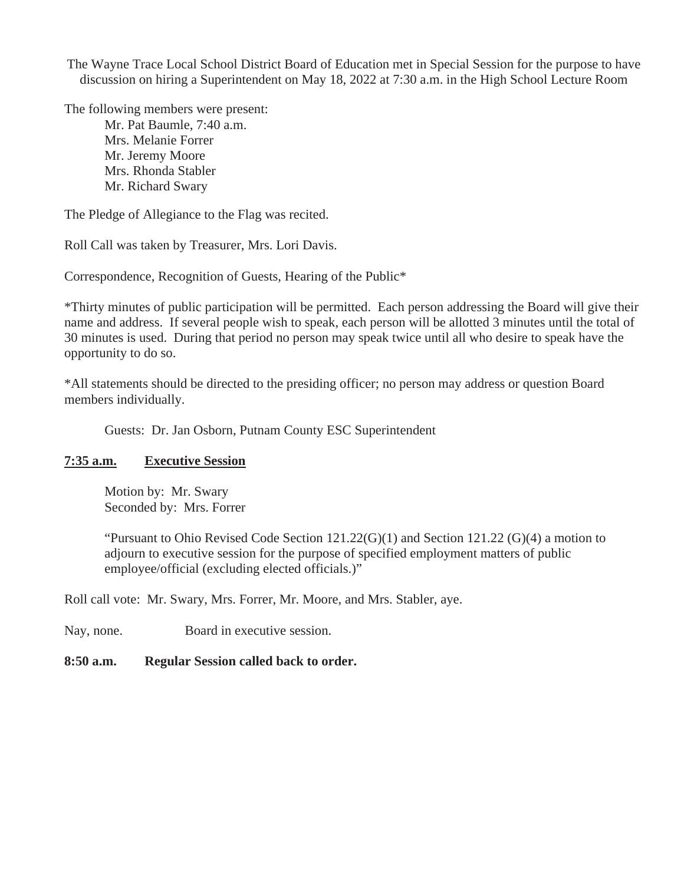The Wayne Trace Local School District Board of Education met in Special Session for the purpose to have discussion on hiring a Superintendent on May 18, 2022 at 7:30 a.m. in the High School Lecture Room

The following members were present:

Mr. Pat Baumle, 7:40 a.m. Mrs. Melanie Forrer Mr. Jeremy Moore Mrs. Rhonda Stabler Mr. Richard Swary

The Pledge of Allegiance to the Flag was recited.

Roll Call was taken by Treasurer, Mrs. Lori Davis.

Correspondence, Recognition of Guests, Hearing of the Public\*

\*Thirty minutes of public participation will be permitted. Each person addressing the Board will give their name and address. If several people wish to speak, each person will be allotted 3 minutes until the total of 30 minutes is used. During that period no person may speak twice until all who desire to speak have the opportunity to do so.

\*All statements should be directed to the presiding officer; no person may address or question Board members individually.

Guests: Dr. Jan Osborn, Putnam County ESC Superintendent

## **7:35 a.m. Executive Session**

Motion by: Mr. Swary Seconded by: Mrs. Forrer

"Pursuant to Ohio Revised Code Section 121.22(G)(1) and Section 121.22 (G)(4) a motion to adjourn to executive session for the purpose of specified employment matters of public employee/official (excluding elected officials.)"

Roll call vote: Mr. Swary, Mrs. Forrer, Mr. Moore, and Mrs. Stabler, aye.

Nay, none. Board in executive session.

## **8:50 a.m. Regular Session called back to order.**